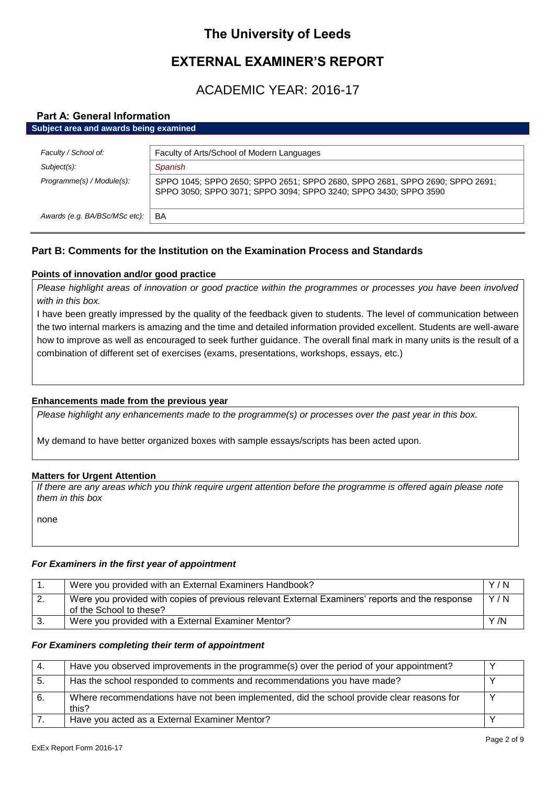# **The University of Leeds**

# **EXTERNAL EXAMINER'S REPORT**

# ACADEMIC YEAR: 2016-17

# **Part A: General Information**

| Subject area and awards being examined      |                                                                                         |
|---------------------------------------------|-----------------------------------------------------------------------------------------|
| Faculty / School of:                        | Faculty of Arts/School of Modern Languages                                              |
| $Subject(s)$ :<br>Programme(s) / Module(s): | Spanish<br>SPPO 1045; SPPO 2650; SPPO 2651; SPPO 2680, SPPO 2681, SPPO 2690; SPPO 2691; |
|                                             | SPPO 3050; SPPO 3071; SPPO 3094; SPPO 3240; SPPO 3430; SPPO 3590                        |
| Awards (e.g. BA/BSc/MSc etc):               | BA                                                                                      |

# **Part B: Comments for the Institution on the Examination Process and Standards**

# **Points of innovation and/or good practice**

*Please highlight areas of innovation or good practice within the programmes or processes you have been involved with in this box.*

I have been greatly impressed by the quality of the feedback given to students. The level of communication between the two internal markers is amazing and the time and detailed information provided excellent. Students are well-aware how to improve as well as encouraged to seek further guidance. The overall final mark in many units is the result of a combination of different set of exercises (exams, presentations, workshops, essays, etc.)

#### **Enhancements made from the previous year**

*Please highlight any enhancements made to the programme(s) or processes over the past year in this box.*

My demand to have better organized boxes with sample essays/scripts has been acted upon.

#### **Matters for Urgent Attention**

*If there are any areas which you think require urgent attention before the programme is offered again please note them in this box*

none

# *For Examiners in the first year of appointment*

|    | Were you provided with an External Examiners Handbook?                                                                     | Y/N  |
|----|----------------------------------------------------------------------------------------------------------------------------|------|
| 2. | Were you provided with copies of previous relevant External Examiners' reports and the response<br>of the School to these? | Y/N  |
|    | Were you provided with a External Examiner Mentor?                                                                         | Y /N |

#### *For Examiners completing their term of appointment*

|    | Have you observed improvements in the programme(s) over the period of your appointment?            |  |
|----|----------------------------------------------------------------------------------------------------|--|
| Ð. | Has the school responded to comments and recommendations you have made?                            |  |
|    | Where recommendations have not been implemented, did the school provide clear reasons for<br>this? |  |
|    | Have you acted as a External Examiner Mentor?                                                      |  |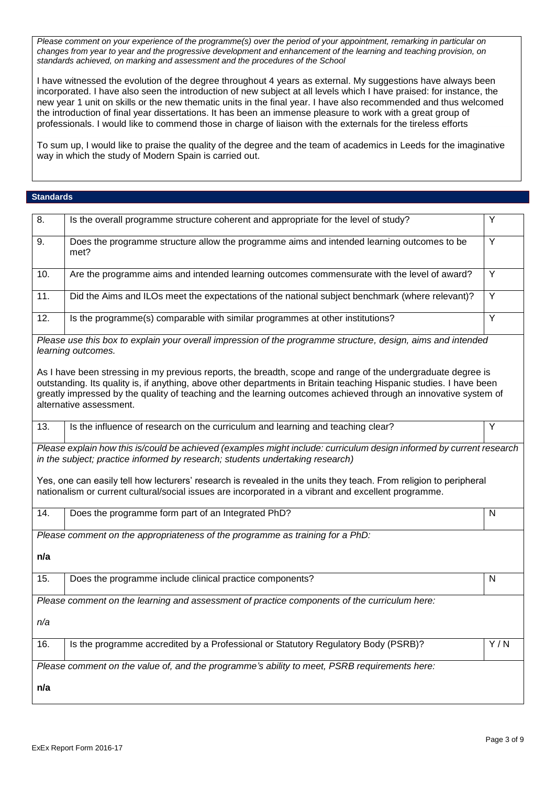*Please comment on your experience of the programme(s) over the period of your appointment, remarking in particular on changes from year to year and the progressive development and enhancement of the learning and teaching provision, on standards achieved, on marking and assessment and the procedures of the School*

I have witnessed the evolution of the degree throughout 4 years as external. My suggestions have always been incorporated. I have also seen the introduction of new subject at all levels which I have praised: for instance, the new year 1 unit on skills or the new thematic units in the final year. I have also recommended and thus welcomed the introduction of final year dissertations. It has been an immense pleasure to work with a great group of professionals. I would like to commend those in charge of liaison with the externals for the tireless efforts

To sum up, I would like to praise the quality of the degree and the team of academics in Leeds for the imaginative way in which the study of Modern Spain is carried out.

#### **Standards**

| 8.                                                                                                                                                                                                    | Is the overall programme structure coherent and appropriate for the level of study?                                                                                                                                                                                                                                                                                               | Y              |
|-------------------------------------------------------------------------------------------------------------------------------------------------------------------------------------------------------|-----------------------------------------------------------------------------------------------------------------------------------------------------------------------------------------------------------------------------------------------------------------------------------------------------------------------------------------------------------------------------------|----------------|
| 9.                                                                                                                                                                                                    | Does the programme structure allow the programme aims and intended learning outcomes to be<br>met?                                                                                                                                                                                                                                                                                | Y              |
| 10.                                                                                                                                                                                                   | Are the programme aims and intended learning outcomes commensurate with the level of award?                                                                                                                                                                                                                                                                                       | $\overline{Y}$ |
| 11.                                                                                                                                                                                                   | Did the Aims and ILOs meet the expectations of the national subject benchmark (where relevant)?                                                                                                                                                                                                                                                                                   | Y              |
| 12.                                                                                                                                                                                                   | Is the programme(s) comparable with similar programmes at other institutions?                                                                                                                                                                                                                                                                                                     | Y              |
|                                                                                                                                                                                                       | Please use this box to explain your overall impression of the programme structure, design, aims and intended<br>learning outcomes.                                                                                                                                                                                                                                                |                |
|                                                                                                                                                                                                       | As I have been stressing in my previous reports, the breadth, scope and range of the undergraduate degree is<br>outstanding. Its quality is, if anything, above other departments in Britain teaching Hispanic studies. I have been<br>greatly impressed by the quality of teaching and the learning outcomes achieved through an innovative system of<br>alternative assessment. |                |
| 13.                                                                                                                                                                                                   | Is the influence of research on the curriculum and learning and teaching clear?                                                                                                                                                                                                                                                                                                   | Υ              |
| Please explain how this is/could be achieved (examples might include: curriculum design informed by current research<br>in the subject; practice informed by research; students undertaking research) |                                                                                                                                                                                                                                                                                                                                                                                   |                |
|                                                                                                                                                                                                       | Yes, one can easily tell how lecturers' research is revealed in the units they teach. From religion to peripheral<br>nationalism or current cultural/social issues are incorporated in a vibrant and excellent programme.                                                                                                                                                         |                |
| 14.                                                                                                                                                                                                   | Does the programme form part of an Integrated PhD?                                                                                                                                                                                                                                                                                                                                | N              |
|                                                                                                                                                                                                       | Please comment on the appropriateness of the programme as training for a PhD:                                                                                                                                                                                                                                                                                                     |                |
| n/a                                                                                                                                                                                                   |                                                                                                                                                                                                                                                                                                                                                                                   |                |
| 15.                                                                                                                                                                                                   | Does the programme include clinical practice components?                                                                                                                                                                                                                                                                                                                          | N              |
|                                                                                                                                                                                                       | Please comment on the learning and assessment of practice components of the curriculum here:                                                                                                                                                                                                                                                                                      |                |
| n/a                                                                                                                                                                                                   |                                                                                                                                                                                                                                                                                                                                                                                   |                |
| 16.                                                                                                                                                                                                   | Is the programme accredited by a Professional or Statutory Regulatory Body (PSRB)?                                                                                                                                                                                                                                                                                                | Y/N            |
|                                                                                                                                                                                                       | Please comment on the value of, and the programme's ability to meet, PSRB requirements here:                                                                                                                                                                                                                                                                                      |                |
| n/a                                                                                                                                                                                                   |                                                                                                                                                                                                                                                                                                                                                                                   |                |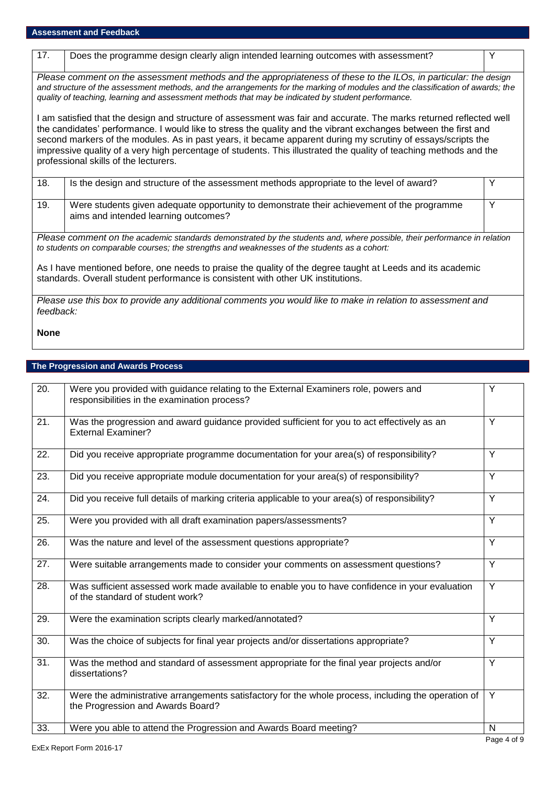| 17.                                                                                                                                                                                                                      | Does the programme design clearly align intended learning outcomes with assessment?                                                                                                                                                                                                                                                                                                                                                                                                                                   | Y |  |
|--------------------------------------------------------------------------------------------------------------------------------------------------------------------------------------------------------------------------|-----------------------------------------------------------------------------------------------------------------------------------------------------------------------------------------------------------------------------------------------------------------------------------------------------------------------------------------------------------------------------------------------------------------------------------------------------------------------------------------------------------------------|---|--|
|                                                                                                                                                                                                                          | Please comment on the assessment methods and the appropriateness of these to the ILOs, in particular: the design<br>and structure of the assessment methods, and the arrangements for the marking of modules and the classification of awards; the<br>quality of teaching, learning and assessment methods that may be indicated by student performance.                                                                                                                                                              |   |  |
|                                                                                                                                                                                                                          | I am satisfied that the design and structure of assessment was fair and accurate. The marks returned reflected well<br>the candidates' performance. I would like to stress the quality and the vibrant exchanges between the first and<br>second markers of the modules. As in past years, it became apparent during my scrutiny of essays/scripts the<br>impressive quality of a very high percentage of students. This illustrated the quality of teaching methods and the<br>professional skills of the lecturers. |   |  |
| 18.                                                                                                                                                                                                                      | Is the design and structure of the assessment methods appropriate to the level of award?                                                                                                                                                                                                                                                                                                                                                                                                                              | Y |  |
| 19.                                                                                                                                                                                                                      | Were students given adequate opportunity to demonstrate their achievement of the programme<br>aims and intended learning outcomes?                                                                                                                                                                                                                                                                                                                                                                                    | Y |  |
| Please comment on the academic standards demonstrated by the students and, where possible, their performance in relation<br>to students on comparable courses; the strengths and weaknesses of the students as a cohort: |                                                                                                                                                                                                                                                                                                                                                                                                                                                                                                                       |   |  |
| As I have mentioned before, one needs to praise the quality of the degree taught at Leeds and its academic<br>standards. Overall student performance is consistent with other UK institutions.                           |                                                                                                                                                                                                                                                                                                                                                                                                                                                                                                                       |   |  |
| Please use this box to provide any additional comments you would like to make in relation to assessment and<br>feedback:                                                                                                 |                                                                                                                                                                                                                                                                                                                                                                                                                                                                                                                       |   |  |

# **None**

# **The Progression and Awards Process**

| 20. | Were you provided with guidance relating to the External Examiners role, powers and<br>responsibilities in the examination process?      | Y              |
|-----|------------------------------------------------------------------------------------------------------------------------------------------|----------------|
| 21. | Was the progression and award guidance provided sufficient for you to act effectively as an<br><b>External Examiner?</b>                 | Y              |
| 22. | Did you receive appropriate programme documentation for your area(s) of responsibility?                                                  | Y              |
| 23. | Did you receive appropriate module documentation for your area(s) of responsibility?                                                     | Y              |
| 24. | Did you receive full details of marking criteria applicable to your area(s) of responsibility?                                           | Y              |
| 25. | Were you provided with all draft examination papers/assessments?                                                                         | Y              |
| 26. | Was the nature and level of the assessment questions appropriate?                                                                        | $\overline{Y}$ |
| 27. | Were suitable arrangements made to consider your comments on assessment questions?                                                       | Y              |
| 28. | Was sufficient assessed work made available to enable you to have confidence in your evaluation<br>of the standard of student work?      | Y              |
| 29. | Were the examination scripts clearly marked/annotated?                                                                                   | $\overline{Y}$ |
| 30. | Was the choice of subjects for final year projects and/or dissertations appropriate?                                                     | Y              |
| 31. | Was the method and standard of assessment appropriate for the final year projects and/or<br>dissertations?                               | Y              |
| 32. | Were the administrative arrangements satisfactory for the whole process, including the operation of<br>the Progression and Awards Board? | Y              |
| 33. | Were you able to attend the Progression and Awards Board meeting?                                                                        | N              |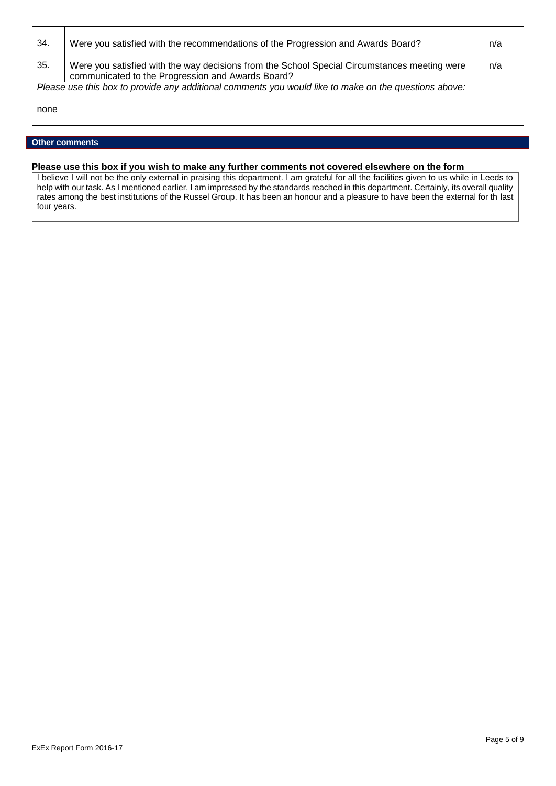| 34.                                                                                                   | Were you satisfied with the recommendations of the Progression and Awards Board?             | n/a |
|-------------------------------------------------------------------------------------------------------|----------------------------------------------------------------------------------------------|-----|
|                                                                                                       |                                                                                              |     |
| 35.                                                                                                   | Were you satisfied with the way decisions from the School Special Circumstances meeting were | n/a |
|                                                                                                       | communicated to the Progression and Awards Board?                                            |     |
| Please use this box to provide any additional comments you would like to make on the questions above: |                                                                                              |     |
|                                                                                                       |                                                                                              |     |
| none                                                                                                  |                                                                                              |     |
|                                                                                                       |                                                                                              |     |

#### **Other comments**

## **Please use this box if you wish to make any further comments not covered elsewhere on the form**

I believe I will not be the only external in praising this department. I am grateful for all the facilities given to us while in Leeds to help with our task. As I mentioned earlier, I am impressed by the standards reached in this department. Certainly, its overall quality rates among the best institutions of the Russel Group. It has been an honour and a pleasure to have been the external for th last four years.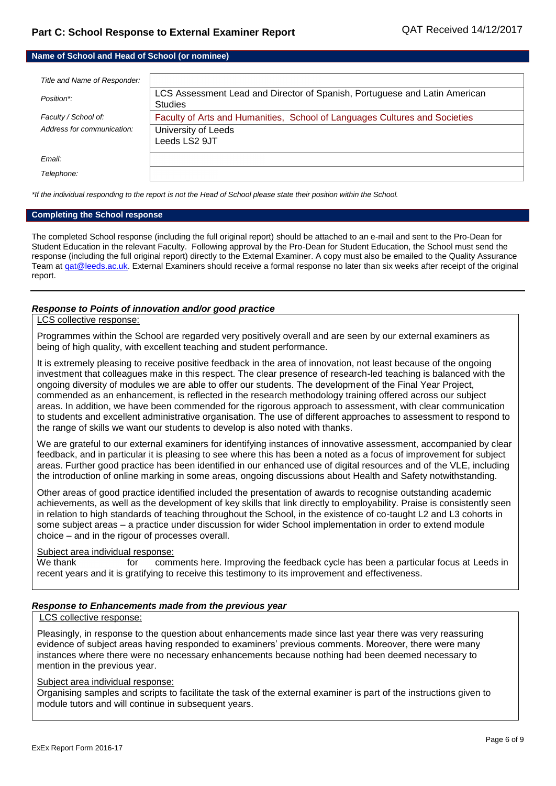#### **Name of School and Head of School (or nominee)**

| Title and Name of Responder: |                                                                                              |
|------------------------------|----------------------------------------------------------------------------------------------|
| Position*:                   | LCS Assessment Lead and Director of Spanish, Portuguese and Latin American<br><b>Studies</b> |
| Faculty / School of:         | Faculty of Arts and Humanities, School of Languages Cultures and Societies                   |
| Address for communication:   | University of Leeds<br>Leeds LS2 9JT                                                         |
| Email:                       |                                                                                              |
| Telephone:                   |                                                                                              |

*\*If the individual responding to the report is not the Head of School please state their position within the School.*

#### **Completing the School response**

The completed School response (including the full original report) should be attached to an e-mail and sent to the Pro-Dean for Student Education in the relevant Faculty. Following approval by the Pro-Dean for Student Education, the School must send the response (including the full original report) directly to the External Examiner. A copy must also be emailed to the Quality Assurance Team a[t qat@leeds.ac.uk.](mailto:qat@leeds.ac.uk) External Examiners should receive a formal response no later than six weeks after receipt of the original report.

#### *Response to Points of innovation and/or good practice*

#### LCS collective response:

Programmes within the School are regarded very positively overall and are seen by our external examiners as being of high quality, with excellent teaching and student performance.

It is extremely pleasing to receive positive feedback in the area of innovation, not least because of the ongoing investment that colleagues make in this respect. The clear presence of research-led teaching is balanced with the ongoing diversity of modules we are able to offer our students. The development of the Final Year Project, commended as an enhancement, is reflected in the research methodology training offered across our subject areas. In addition, we have been commended for the rigorous approach to assessment, with clear communication to students and excellent administrative organisation. The use of different approaches to assessment to respond to the range of skills we want our students to develop is also noted with thanks.

We are grateful to our external examiners for identifying instances of innovative assessment, accompanied by clear feedback, and in particular it is pleasing to see where this has been a noted as a focus of improvement for subject areas. Further good practice has been identified in our enhanced use of digital resources and of the VLE, including the introduction of online marking in some areas, ongoing discussions about Health and Safety notwithstanding.

Other areas of good practice identified included the presentation of awards to recognise outstanding academic achievements, as well as the development of key skills that link directly to employability. Praise is consistently seen in relation to high standards of teaching throughout the School, in the existence of co-taught L2 and L3 cohorts in some subject areas – a practice under discussion for wider School implementation in order to extend module choice – and in the rigour of processes overall.

#### Subject area individual response:

We thank for comments here. Improving the feedback cycle has been a particular focus at Leeds in recent years and it is gratifying to receive this testimony to its improvement and effectiveness.

#### *Response to Enhancements made from the previous year*

## LCS collective response:

Pleasingly, in response to the question about enhancements made since last year there was very reassuring evidence of subject areas having responded to examiners' previous comments. Moreover, there were many instances where there were no necessary enhancements because nothing had been deemed necessary to mention in the previous year.

#### Subject area individual response:

Organising samples and scripts to facilitate the task of the external examiner is part of the instructions given to module tutors and will continue in subsequent years.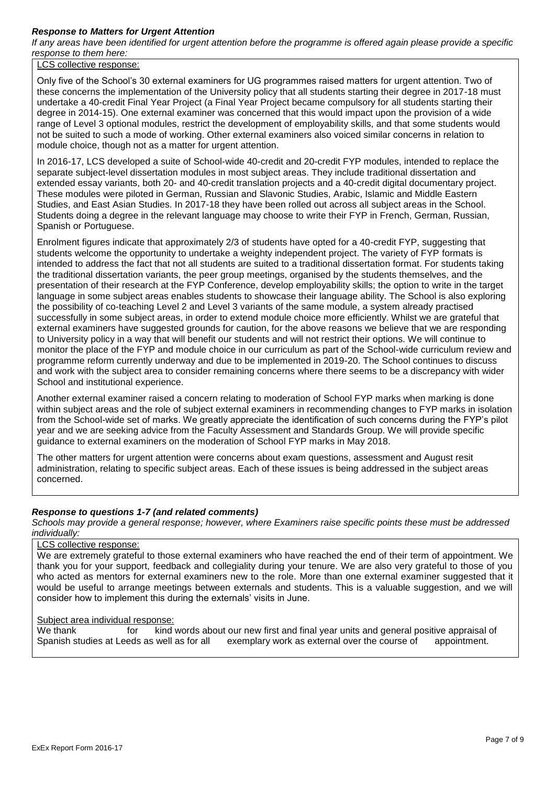# *Response to Matters for Urgent Attention*

*If any areas have been identified for urgent attention before the programme is offered again please provide a specific response to them here:*

LCS collective response:

Only five of the School's 30 external examiners for UG programmes raised matters for urgent attention. Two of these concerns the implementation of the University policy that all students starting their degree in 2017-18 must undertake a 40-credit Final Year Project (a Final Year Project became compulsory for all students starting their degree in 2014-15). One external examiner was concerned that this would impact upon the provision of a wide range of Level 3 optional modules, restrict the development of employability skills, and that some students would not be suited to such a mode of working. Other external examiners also voiced similar concerns in relation to module choice, though not as a matter for urgent attention.

In 2016-17, LCS developed a suite of School-wide 40-credit and 20-credit FYP modules, intended to replace the separate subject-level dissertation modules in most subject areas. They include traditional dissertation and extended essay variants, both 20- and 40-credit translation projects and a 40-credit digital documentary project. These modules were piloted in German, Russian and Slavonic Studies, Arabic, Islamic and Middle Eastern Studies, and East Asian Studies. In 2017-18 they have been rolled out across all subject areas in the School. Students doing a degree in the relevant language may choose to write their FYP in French, German, Russian, Spanish or Portuguese.

Enrolment figures indicate that approximately 2/3 of students have opted for a 40-credit FYP, suggesting that students welcome the opportunity to undertake a weighty independent project. The variety of FYP formats is intended to address the fact that not all students are suited to a traditional dissertation format. For students taking the traditional dissertation variants, the peer group meetings, organised by the students themselves, and the presentation of their research at the FYP Conference, develop employability skills; the option to write in the target language in some subject areas enables students to showcase their language ability. The School is also exploring the possibility of co-teaching Level 2 and Level 3 variants of the same module, a system already practised successfully in some subject areas, in order to extend module choice more efficiently. Whilst we are grateful that external examiners have suggested grounds for caution, for the above reasons we believe that we are responding to University policy in a way that will benefit our students and will not restrict their options. We will continue to monitor the place of the FYP and module choice in our curriculum as part of the School-wide curriculum review and programme reform currently underway and due to be implemented in 2019-20. The School continues to discuss and work with the subject area to consider remaining concerns where there seems to be a discrepancy with wider School and institutional experience.

Another external examiner raised a concern relating to moderation of School FYP marks when marking is done within subject areas and the role of subject external examiners in recommending changes to FYP marks in isolation from the School-wide set of marks. We greatly appreciate the identification of such concerns during the FYP's pilot year and we are seeking advice from the Faculty Assessment and Standards Group. We will provide specific guidance to external examiners on the moderation of School FYP marks in May 2018.

The other matters for urgent attention were concerns about exam questions, assessment and August resit administration, relating to specific subject areas. Each of these issues is being addressed in the subject areas concerned.

# *Response to questions 1-7 (and related comments)*

*Schools may provide a general response; however, where Examiners raise specific points these must be addressed individually:*

### LCS collective response:

We are extremely grateful to those external examiners who have reached the end of their term of appointment. We thank you for your support, feedback and collegiality during your tenure. We are also very grateful to those of you who acted as mentors for external examiners new to the role. More than one external examiner suggested that it would be useful to arrange meetings between externals and students. This is a valuable suggestion, and we will consider how to implement this during the externals' visits in June.

#### Subject area individual response:

We thank for kind words about our new first and final year units and general positive appraisal of Spanish studies at Leeds as well as for all exemplary work as external over the course of appointment.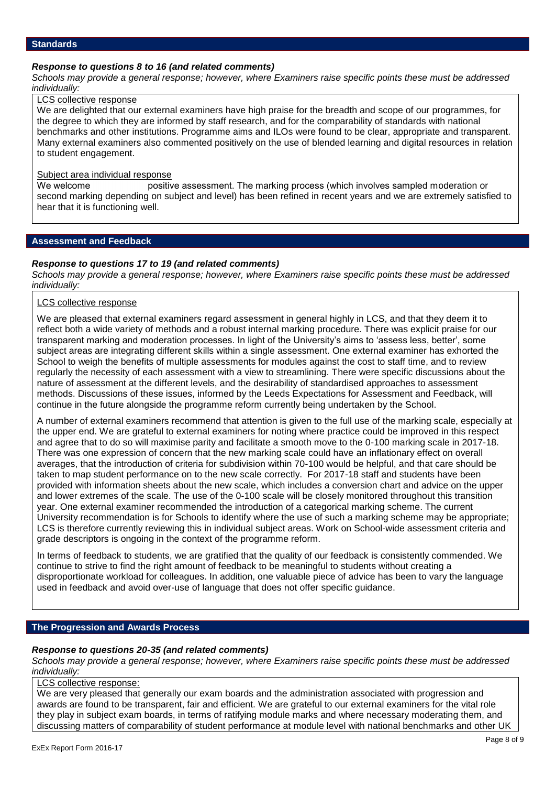## *Response to questions 8 to 16 (and related comments)*

*Schools may provide a general response; however, where Examiners raise specific points these must be addressed individually:*

#### LCS collective response

We are delighted that our external examiners have high praise for the breadth and scope of our programmes, for the degree to which they are informed by staff research, and for the comparability of standards with national benchmarks and other institutions. Programme aims and ILOs were found to be clear, appropriate and transparent. Many external examiners also commented positively on the use of blended learning and digital resources in relation to student engagement.

#### Subject area individual response

We welcome **positive assessment.** The marking process (which involves sampled moderation or second marking depending on subject and level) has been refined in recent years and we are extremely satisfied to hear that it is functioning well.

### **Assessment and Feedback**

#### *Response to questions 17 to 19 (and related comments)*

*Schools may provide a general response; however, where Examiners raise specific points these must be addressed individually:*

### LCS collective response

We are pleased that external examiners regard assessment in general highly in LCS, and that they deem it to reflect both a wide variety of methods and a robust internal marking procedure. There was explicit praise for our transparent marking and moderation processes. In light of the University's aims to 'assess less, better', some subject areas are integrating different skills within a single assessment. One external examiner has exhorted the School to weigh the benefits of multiple assessments for modules against the cost to staff time, and to review regularly the necessity of each assessment with a view to streamlining. There were specific discussions about the nature of assessment at the different levels, and the desirability of standardised approaches to assessment methods. Discussions of these issues, informed by the Leeds Expectations for Assessment and Feedback, will continue in the future alongside the programme reform currently being undertaken by the School.

A number of external examiners recommend that attention is given to the full use of the marking scale, especially at the upper end. We are grateful to external examiners for noting where practice could be improved in this respect and agree that to do so will maximise parity and facilitate a smooth move to the 0-100 marking scale in 2017-18. There was one expression of concern that the new marking scale could have an inflationary effect on overall averages, that the introduction of criteria for subdivision within 70-100 would be helpful, and that care should be taken to map student performance on to the new scale correctly. For 2017-18 staff and students have been provided with information sheets about the new scale, which includes a conversion chart and advice on the upper and lower extremes of the scale. The use of the 0-100 scale will be closely monitored throughout this transition year. One external examiner recommended the introduction of a categorical marking scheme. The current University recommendation is for Schools to identify where the use of such a marking scheme may be appropriate; LCS is therefore currently reviewing this in individual subject areas. Work on School-wide assessment criteria and grade descriptors is ongoing in the context of the programme reform.

In terms of feedback to students, we are gratified that the quality of our feedback is consistently commended. We continue to strive to find the right amount of feedback to be meaningful to students without creating a disproportionate workload for colleagues. In addition, one valuable piece of advice has been to vary the language used in feedback and avoid over-use of language that does not offer specific guidance.

# **The Progression and Awards Process**

#### *Response to questions 20-35 (and related comments)*

*Schools may provide a general response; however, where Examiners raise specific points these must be addressed individually:*

#### LCS collective response:

We are very pleased that generally our exam boards and the administration associated with progression and awards are found to be transparent, fair and efficient. We are grateful to our external examiners for the vital role they play in subject exam boards, in terms of ratifying module marks and where necessary moderating them, and discussing matters of comparability of student performance at module level with national benchmarks and other UK